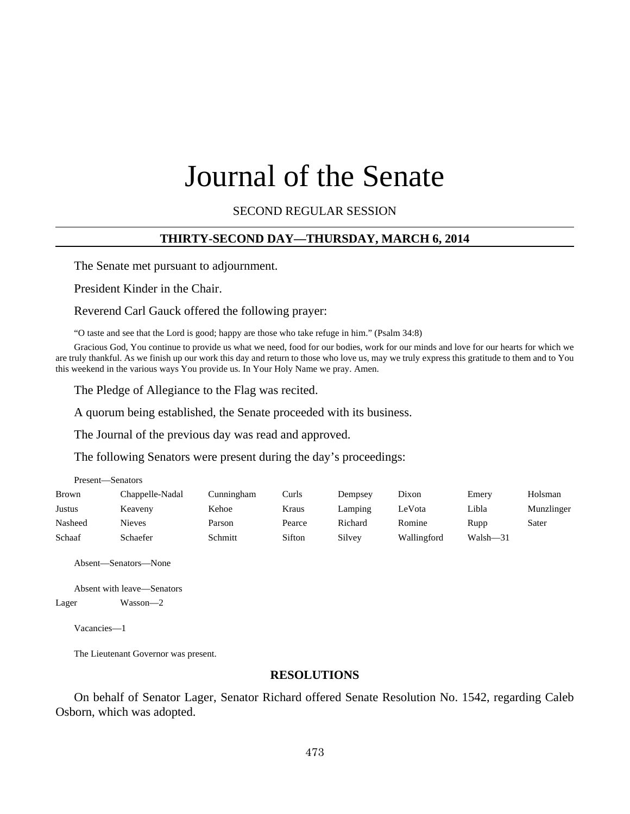# Journal of the Senate

SECOND REGULAR SESSION

#### **THIRTY-SECOND DAY—THURSDAY, MARCH 6, 2014**

The Senate met pursuant to adjournment.

President Kinder in the Chair.

Reverend Carl Gauck offered the following prayer:

"O taste and see that the Lord is good; happy are those who take refuge in him." (Psalm 34:8)

Gracious God, You continue to provide us what we need, food for our bodies, work for our minds and love for our hearts for which we are truly thankful. As we finish up our work this day and return to those who love us, may we truly express this gratitude to them and to You this weekend in the various ways You provide us. In Your Holy Name we pray. Amen.

The Pledge of Allegiance to the Flag was recited.

A quorum being established, the Senate proceeded with its business.

The Journal of the previous day was read and approved.

The following Senators were present during the day's proceedings:

| Present—Senators |                 |            |        |         |             |          |            |  |
|------------------|-----------------|------------|--------|---------|-------------|----------|------------|--|
| <b>Brown</b>     | Chappelle-Nadal | Cunningham | Curls  | Dempsey | Dixon       | Emery    | Holsman    |  |
| Justus           | Keaveny         | Kehoe      | Kraus  | Lamping | LeVota      | Libla    | Munzlinger |  |
| Nasheed          | Nieves          | Parson     | Pearce | Richard | Romine      | Rupp     | Sater      |  |
| Schaaf           | Schaefer        | Schmitt    | Sifton | Silvey  | Wallingford | Walsh-31 |            |  |

Absent—Senators—None

Absent with leave—Senators Lager Wasson—2

Vacancies—1

The Lieutenant Governor was present.

#### **RESOLUTIONS**

On behalf of Senator Lager, Senator Richard offered Senate Resolution No. 1542, regarding Caleb Osborn, which was adopted.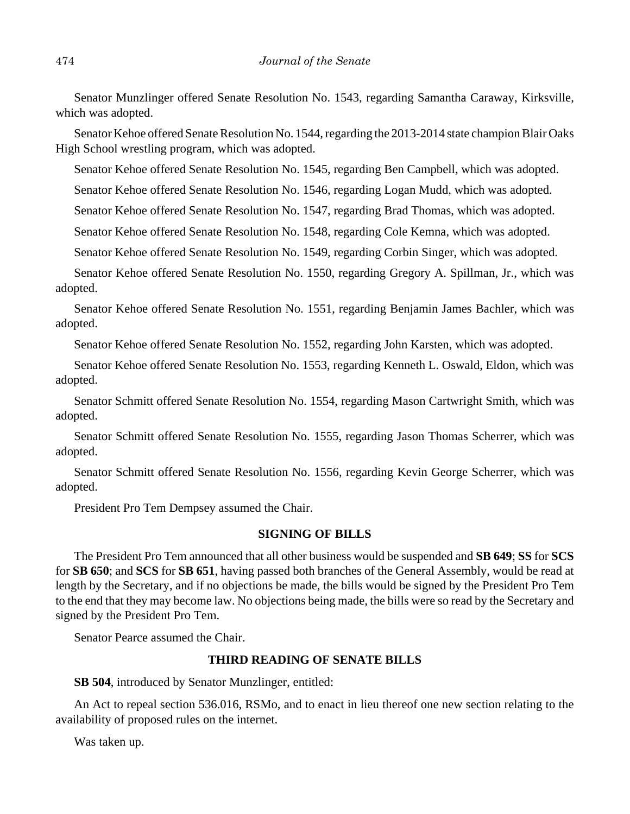Senator Munzlinger offered Senate Resolution No. 1543, regarding Samantha Caraway, Kirksville, which was adopted.

Senator Kehoe offered Senate Resolution No. 1544, regarding the 2013-2014 state champion Blair Oaks High School wrestling program, which was adopted.

Senator Kehoe offered Senate Resolution No. 1545, regarding Ben Campbell, which was adopted.

Senator Kehoe offered Senate Resolution No. 1546, regarding Logan Mudd, which was adopted.

Senator Kehoe offered Senate Resolution No. 1547, regarding Brad Thomas, which was adopted.

Senator Kehoe offered Senate Resolution No. 1548, regarding Cole Kemna, which was adopted.

Senator Kehoe offered Senate Resolution No. 1549, regarding Corbin Singer, which was adopted.

Senator Kehoe offered Senate Resolution No. 1550, regarding Gregory A. Spillman, Jr., which was adopted.

Senator Kehoe offered Senate Resolution No. 1551, regarding Benjamin James Bachler, which was adopted.

Senator Kehoe offered Senate Resolution No. 1552, regarding John Karsten, which was adopted.

Senator Kehoe offered Senate Resolution No. 1553, regarding Kenneth L. Oswald, Eldon, which was adopted.

Senator Schmitt offered Senate Resolution No. 1554, regarding Mason Cartwright Smith, which was adopted.

Senator Schmitt offered Senate Resolution No. 1555, regarding Jason Thomas Scherrer, which was adopted.

Senator Schmitt offered Senate Resolution No. 1556, regarding Kevin George Scherrer, which was adopted.

President Pro Tem Dempsey assumed the Chair.

## **SIGNING OF BILLS**

The President Pro Tem announced that all other business would be suspended and **SB 649**; **SS** for **SCS** for **SB 650**; and **SCS** for **SB 651**, having passed both branches of the General Assembly, would be read at length by the Secretary, and if no objections be made, the bills would be signed by the President Pro Tem to the end that they may become law. No objections being made, the bills were so read by the Secretary and signed by the President Pro Tem.

Senator Pearce assumed the Chair.

# **THIRD READING OF SENATE BILLS**

**SB 504**, introduced by Senator Munzlinger, entitled:

An Act to repeal section 536.016, RSMo, and to enact in lieu thereof one new section relating to the availability of proposed rules on the internet.

Was taken up.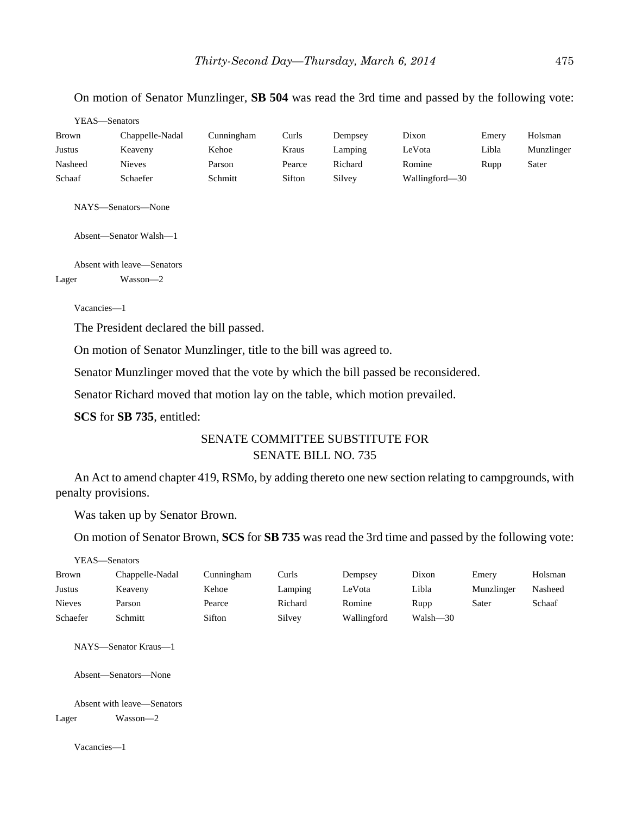# On motion of Senator Munzlinger, **SB 504** was read the 3rd time and passed by the following vote:

| YEAS—Senators |                 |            |        |         |                |       |            |  |
|---------------|-----------------|------------|--------|---------|----------------|-------|------------|--|
| <b>Brown</b>  | Chappelle-Nadal | Cunningham | Curls  | Dempsey | Dixon          | Emery | Holsman    |  |
| Justus        | Keaveny         | Kehoe      | Kraus  | Lamping | LeVota         | Libla | Munzlinger |  |
| Nasheed       | <b>Nieves</b>   | Parson     | Pearce | Richard | Romine         | Rupp  | Sater      |  |
| Schaaf        | Schaefer        | Schmitt    | Sifton | Silvey  | Wallingford—30 |       |            |  |

NAYS—Senators—None

Absent—Senator Walsh—1

Absent with leave—Senators Lager Wasson—2

Vacancies—1

The President declared the bill passed.

On motion of Senator Munzlinger, title to the bill was agreed to.

Senator Munzlinger moved that the vote by which the bill passed be reconsidered.

Senator Richard moved that motion lay on the table, which motion prevailed.

**SCS** for **SB 735**, entitled:

# SENATE COMMITTEE SUBSTITUTE FOR SENATE BILL NO. 735

An Act to amend chapter 419, RSMo, by adding thereto one new section relating to campgrounds, with penalty provisions.

Was taken up by Senator Brown.

On motion of Senator Brown, **SCS** for **SB 735** was read the 3rd time and passed by the following vote:

YEAS—Senators

| Brown         | Chappelle-Nadal | Cunningham | Curls   | Dempsey     | Dixon    | Emery      | Holsman |
|---------------|-----------------|------------|---------|-------------|----------|------------|---------|
| Justus        | Keaveny         | Kehoe      | Lamping | LeVota      | Libla    | Munzlinger | Nasheed |
| <b>Nieves</b> | Parson          | Pearce     | Richard | Romine      | Rupp     | Sater      | Schaaf  |
| Schaefer      | Schmitt         | Sifton     | Silvey  | Wallingford | Walsh—30 |            |         |

NAYS—Senator Kraus—1

Absent—Senators—None

Absent with leave—Senators

Lager Wasson—2

Vacancies—1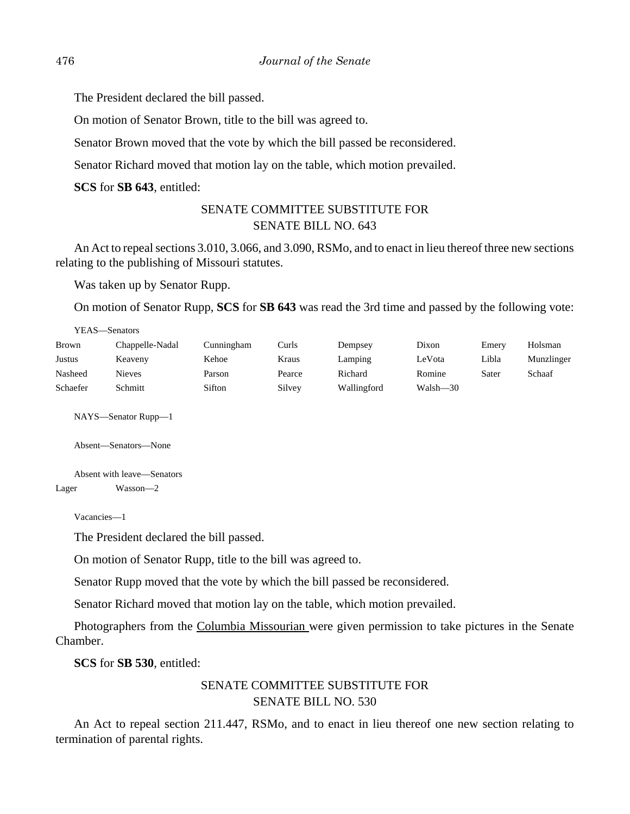The President declared the bill passed.

On motion of Senator Brown, title to the bill was agreed to.

Senator Brown moved that the vote by which the bill passed be reconsidered.

Senator Richard moved that motion lay on the table, which motion prevailed.

**SCS** for **SB 643**, entitled:

# SENATE COMMITTEE SUBSTITUTE FOR SENATE BILL NO. 643

An Act to repeal sections 3.010, 3.066, and 3.090, RSMo, and to enact in lieu thereof three new sections relating to the publishing of Missouri statutes.

Was taken up by Senator Rupp.

On motion of Senator Rupp, **SCS** for **SB 643** was read the 3rd time and passed by the following vote:

| YEAS—Senators |                 |            |        |             |          |       |            |  |
|---------------|-----------------|------------|--------|-------------|----------|-------|------------|--|
| Brown         | Chappelle-Nadal | Cunningham | Curls  | Dempsey     | Dixon    | Emery | Holsman    |  |
| Justus        | Keaveny         | Kehoe      | Kraus  | Lamping     | LeVota   | Libla | Munzlinger |  |
| Nasheed       | <b>Nieves</b>   | Parson     | Pearce | Richard     | Romine   | Sater | Schaaf     |  |
| Schaefer      | Schmitt         | Sifton     | Silvey | Wallingford | Walsh-30 |       |            |  |

NAYS—Senator Rupp—1

Absent—Senators—None

Absent with leave—Senators Lager Wasson—2

Vacancies—1

The President declared the bill passed.

On motion of Senator Rupp, title to the bill was agreed to.

Senator Rupp moved that the vote by which the bill passed be reconsidered.

Senator Richard moved that motion lay on the table, which motion prevailed.

Photographers from the Columbia Missourian were given permission to take pictures in the Senate Chamber.

**SCS** for **SB 530**, entitled:

# SENATE COMMITTEE SUBSTITUTE FOR SENATE BILL NO. 530

An Act to repeal section 211.447, RSMo, and to enact in lieu thereof one new section relating to termination of parental rights.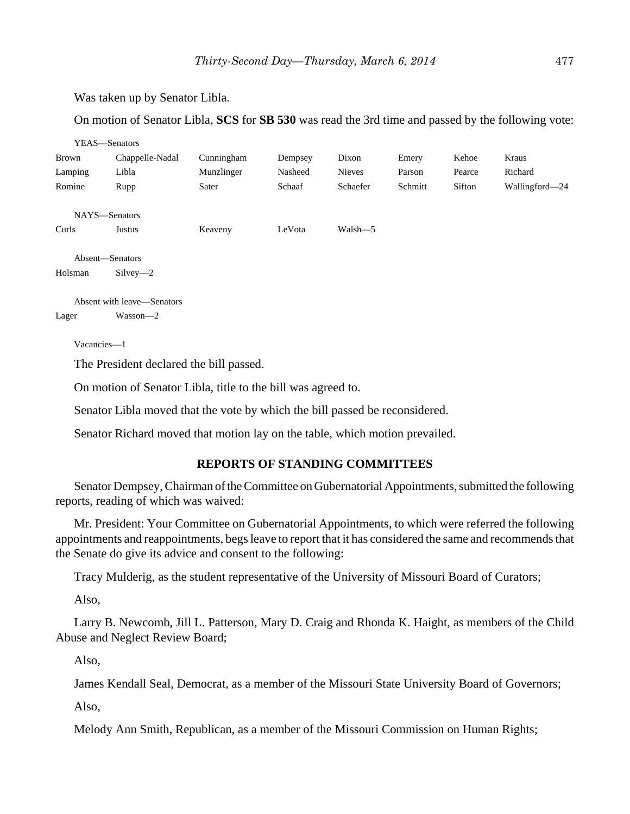Was taken up by Senator Libla.

On motion of Senator Libla, **SCS** for **SB 530** was read the 3rd time and passed by the following vote:

|         | YEAS-Senators              |            |         |               |         |        |                |
|---------|----------------------------|------------|---------|---------------|---------|--------|----------------|
| Brown   | Chappelle-Nadal            | Cunningham | Dempsey | Dixon         | Emery   | Kehoe  | Kraus          |
| Lamping | Libla                      | Munzlinger | Nasheed | <b>Nieves</b> | Parson  | Pearce | Richard        |
| Romine  | Rupp                       | Sater      | Schaaf  | Schaefer      | Schmitt | Sifton | Wallingford—24 |
|         | NAYS-Senators              |            |         |               |         |        |                |
| Curls   | Justus                     | Keaveny    | LeVota  | Walsh-5       |         |        |                |
|         | Absent-Senators            |            |         |               |         |        |                |
| Holsman | $Silvey-2$                 |            |         |               |         |        |                |
|         | Absent with leave—Senators |            |         |               |         |        |                |
| Lager   | Wasson-2                   |            |         |               |         |        |                |

Vacancies—1

The President declared the bill passed.

On motion of Senator Libla, title to the bill was agreed to.

Senator Libla moved that the vote by which the bill passed be reconsidered.

Senator Richard moved that motion lay on the table, which motion prevailed.

# **REPORTS OF STANDING COMMITTEES**

Senator Dempsey, Chairman of the Committee on Gubernatorial Appointments, submitted the following reports, reading of which was waived:

Mr. President: Your Committee on Gubernatorial Appointments, to which were referred the following appointments and reappointments, begs leave to report that it has considered the same and recommends that the Senate do give its advice and consent to the following:

Tracy Mulderig, as the student representative of the University of Missouri Board of Curators;

Also,

Larry B. Newcomb, Jill L. Patterson, Mary D. Craig and Rhonda K. Haight, as members of the Child Abuse and Neglect Review Board;

Also,

James Kendall Seal, Democrat, as a member of the Missouri State University Board of Governors;

Also,

Melody Ann Smith, Republican, as a member of the Missouri Commission on Human Rights;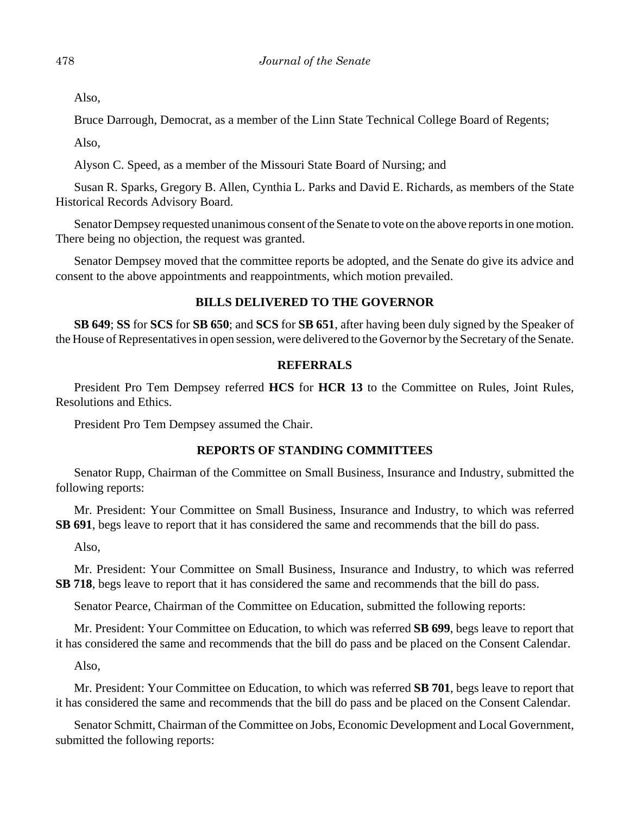Also,

Bruce Darrough, Democrat, as a member of the Linn State Technical College Board of Regents;

Also,

Alyson C. Speed, as a member of the Missouri State Board of Nursing; and

Susan R. Sparks, Gregory B. Allen, Cynthia L. Parks and David E. Richards, as members of the State Historical Records Advisory Board.

Senator Dempsey requested unanimous consent of the Senate to vote on the above reports in one motion. There being no objection, the request was granted.

Senator Dempsey moved that the committee reports be adopted, and the Senate do give its advice and consent to the above appointments and reappointments, which motion prevailed.

# **BILLS DELIVERED TO THE GOVERNOR**

**SB 649**; **SS** for **SCS** for **SB 650**; and **SCS** for **SB 651**, after having been duly signed by the Speaker of the House of Representatives in open session, were delivered to the Governor by the Secretary of the Senate.

#### **REFERRALS**

President Pro Tem Dempsey referred **HCS** for **HCR 13** to the Committee on Rules, Joint Rules, Resolutions and Ethics.

President Pro Tem Dempsey assumed the Chair.

#### **REPORTS OF STANDING COMMITTEES**

Senator Rupp, Chairman of the Committee on Small Business, Insurance and Industry, submitted the following reports:

Mr. President: Your Committee on Small Business, Insurance and Industry, to which was referred **SB 691**, begs leave to report that it has considered the same and recommends that the bill do pass.

Also,

Mr. President: Your Committee on Small Business, Insurance and Industry, to which was referred **SB 718**, begs leave to report that it has considered the same and recommends that the bill do pass.

Senator Pearce, Chairman of the Committee on Education, submitted the following reports:

Mr. President: Your Committee on Education, to which was referred **SB 699**, begs leave to report that it has considered the same and recommends that the bill do pass and be placed on the Consent Calendar.

Also,

Mr. President: Your Committee on Education, to which was referred **SB 701**, begs leave to report that it has considered the same and recommends that the bill do pass and be placed on the Consent Calendar.

Senator Schmitt, Chairman of the Committee on Jobs, Economic Development and Local Government, submitted the following reports: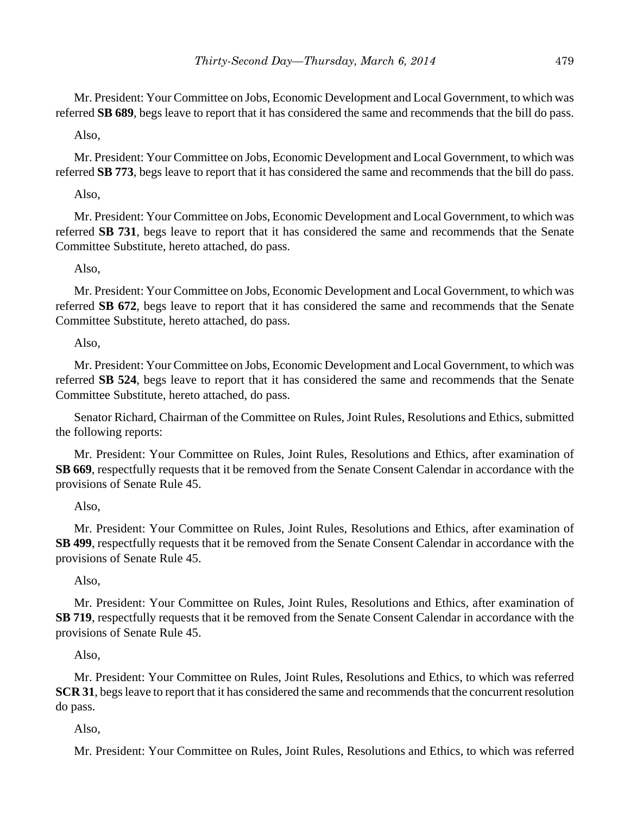Mr. President: Your Committee on Jobs, Economic Development and Local Government, to which was referred **SB 689**, begs leave to report that it has considered the same and recommends that the bill do pass.

# Also,

Mr. President: Your Committee on Jobs, Economic Development and Local Government, to which was referred **SB 773**, begs leave to report that it has considered the same and recommends that the bill do pass.

Also,

Mr. President: Your Committee on Jobs, Economic Development and Local Government, to which was referred **SB 731**, begs leave to report that it has considered the same and recommends that the Senate Committee Substitute, hereto attached, do pass.

# Also,

Mr. President: Your Committee on Jobs, Economic Development and Local Government, to which was referred **SB 672**, begs leave to report that it has considered the same and recommends that the Senate Committee Substitute, hereto attached, do pass.

Also,

Mr. President: Your Committee on Jobs, Economic Development and Local Government, to which was referred **SB 524**, begs leave to report that it has considered the same and recommends that the Senate Committee Substitute, hereto attached, do pass.

Senator Richard, Chairman of the Committee on Rules, Joint Rules, Resolutions and Ethics, submitted the following reports:

Mr. President: Your Committee on Rules, Joint Rules, Resolutions and Ethics, after examination of **SB 669**, respectfully requests that it be removed from the Senate Consent Calendar in accordance with the provisions of Senate Rule 45.

# Also,

Mr. President: Your Committee on Rules, Joint Rules, Resolutions and Ethics, after examination of **SB 499**, respectfully requests that it be removed from the Senate Consent Calendar in accordance with the provisions of Senate Rule 45.

Also,

Mr. President: Your Committee on Rules, Joint Rules, Resolutions and Ethics, after examination of **SB 719**, respectfully requests that it be removed from the Senate Consent Calendar in accordance with the provisions of Senate Rule 45.

Also,

Mr. President: Your Committee on Rules, Joint Rules, Resolutions and Ethics, to which was referred **SCR 31**, begs leave to report that it has considered the same and recommends that the concurrent resolution do pass.

Also,

Mr. President: Your Committee on Rules, Joint Rules, Resolutions and Ethics, to which was referred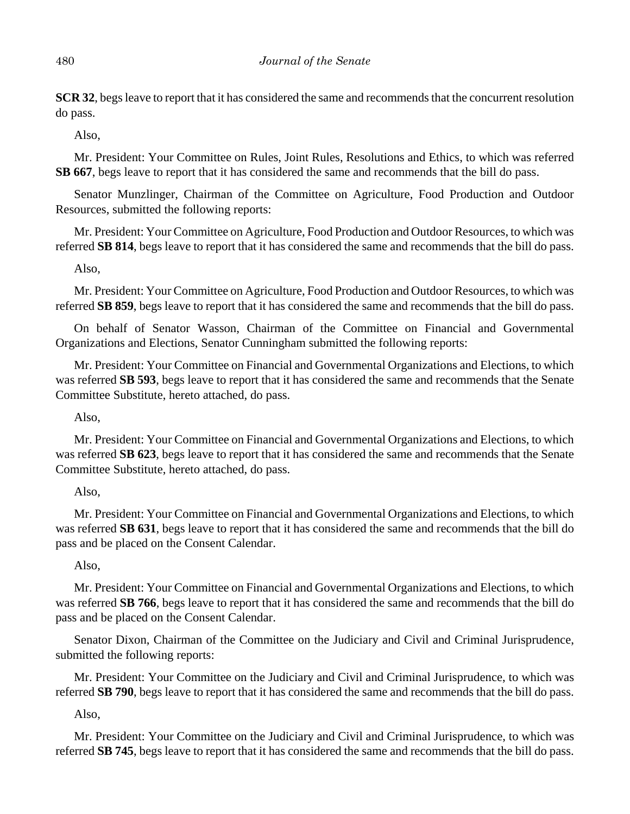**SCR 32**, begs leave to report that it has considered the same and recommends that the concurrent resolution do pass.

Also,

Mr. President: Your Committee on Rules, Joint Rules, Resolutions and Ethics, to which was referred **SB 667**, begs leave to report that it has considered the same and recommends that the bill do pass.

Senator Munzlinger, Chairman of the Committee on Agriculture, Food Production and Outdoor Resources, submitted the following reports:

Mr. President: Your Committee on Agriculture, Food Production and Outdoor Resources, to which was referred **SB 814**, begs leave to report that it has considered the same and recommends that the bill do pass.

Also,

Mr. President: Your Committee on Agriculture, Food Production and Outdoor Resources, to which was referred **SB 859**, begs leave to report that it has considered the same and recommends that the bill do pass.

On behalf of Senator Wasson, Chairman of the Committee on Financial and Governmental Organizations and Elections, Senator Cunningham submitted the following reports:

Mr. President: Your Committee on Financial and Governmental Organizations and Elections, to which was referred **SB 593**, begs leave to report that it has considered the same and recommends that the Senate Committee Substitute, hereto attached, do pass.

Also,

Mr. President: Your Committee on Financial and Governmental Organizations and Elections, to which was referred **SB 623**, begs leave to report that it has considered the same and recommends that the Senate Committee Substitute, hereto attached, do pass.

# Also,

Mr. President: Your Committee on Financial and Governmental Organizations and Elections, to which was referred **SB 631**, begs leave to report that it has considered the same and recommends that the bill do pass and be placed on the Consent Calendar.

# Also,

Mr. President: Your Committee on Financial and Governmental Organizations and Elections, to which was referred **SB 766**, begs leave to report that it has considered the same and recommends that the bill do pass and be placed on the Consent Calendar.

Senator Dixon, Chairman of the Committee on the Judiciary and Civil and Criminal Jurisprudence, submitted the following reports:

Mr. President: Your Committee on the Judiciary and Civil and Criminal Jurisprudence, to which was referred **SB 790**, begs leave to report that it has considered the same and recommends that the bill do pass.

# Also,

Mr. President: Your Committee on the Judiciary and Civil and Criminal Jurisprudence, to which was referred **SB 745**, begs leave to report that it has considered the same and recommends that the bill do pass.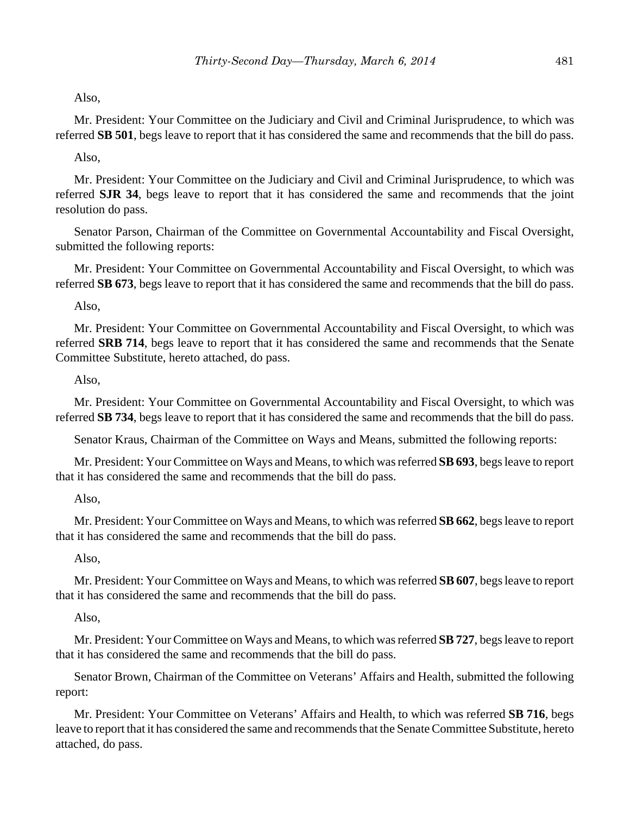Also,

Mr. President: Your Committee on the Judiciary and Civil and Criminal Jurisprudence, to which was referred **SB 501**, begs leave to report that it has considered the same and recommends that the bill do pass.

Also,

Mr. President: Your Committee on the Judiciary and Civil and Criminal Jurisprudence, to which was referred **SJR 34**, begs leave to report that it has considered the same and recommends that the joint resolution do pass.

Senator Parson, Chairman of the Committee on Governmental Accountability and Fiscal Oversight, submitted the following reports:

Mr. President: Your Committee on Governmental Accountability and Fiscal Oversight, to which was referred **SB 673**, begs leave to report that it has considered the same and recommends that the bill do pass.

Also,

Mr. President: Your Committee on Governmental Accountability and Fiscal Oversight, to which was referred **SRB 714**, begs leave to report that it has considered the same and recommends that the Senate Committee Substitute, hereto attached, do pass.

Also,

Mr. President: Your Committee on Governmental Accountability and Fiscal Oversight, to which was referred **SB 734**, begs leave to report that it has considered the same and recommends that the bill do pass.

Senator Kraus, Chairman of the Committee on Ways and Means, submitted the following reports:

Mr. President: Your Committee on Ways and Means, to which was referred **SB 693**, begs leave to report that it has considered the same and recommends that the bill do pass.

Also,

Mr. President: Your Committee on Ways and Means, to which was referred **SB 662**, begs leave to report that it has considered the same and recommends that the bill do pass.

Also,

Mr. President: Your Committee on Ways and Means, to which was referred **SB 607**, begs leave to report that it has considered the same and recommends that the bill do pass.

Also,

Mr. President: Your Committee on Ways and Means, to which was referred **SB 727**, begs leave to report that it has considered the same and recommends that the bill do pass.

Senator Brown, Chairman of the Committee on Veterans' Affairs and Health, submitted the following report:

Mr. President: Your Committee on Veterans' Affairs and Health, to which was referred **SB 716**, begs leave to report that it has considered the same and recommends that the Senate Committee Substitute, hereto attached, do pass.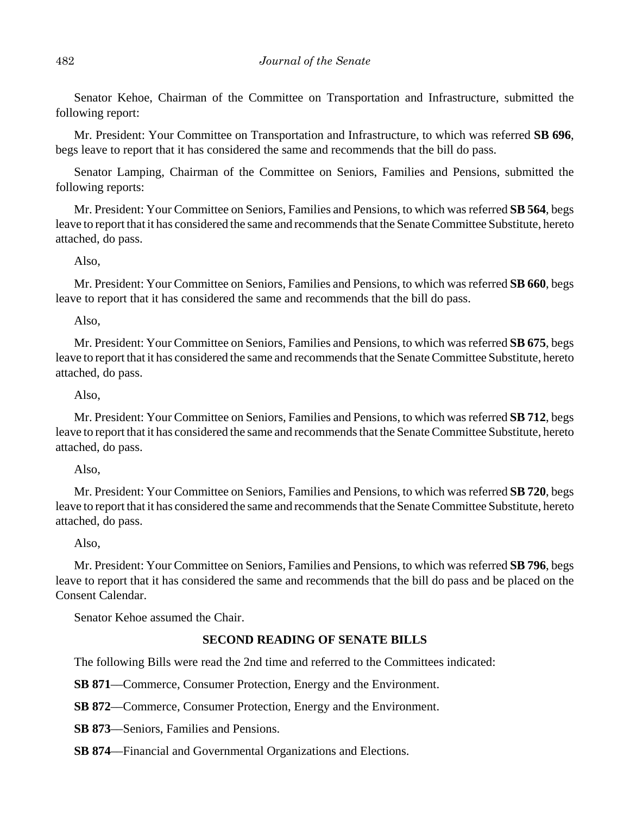Senator Kehoe, Chairman of the Committee on Transportation and Infrastructure, submitted the following report:

Mr. President: Your Committee on Transportation and Infrastructure, to which was referred **SB 696**, begs leave to report that it has considered the same and recommends that the bill do pass.

Senator Lamping, Chairman of the Committee on Seniors, Families and Pensions, submitted the following reports:

Mr. President: Your Committee on Seniors, Families and Pensions, to which was referred **SB 564**, begs leave to report that it has considered the same and recommends that the Senate Committee Substitute, hereto attached, do pass.

#### Also,

Mr. President: Your Committee on Seniors, Families and Pensions, to which was referred **SB 660**, begs leave to report that it has considered the same and recommends that the bill do pass.

#### Also,

Mr. President: Your Committee on Seniors, Families and Pensions, to which was referred **SB 675**, begs leave to report that it has considered the same and recommends that the Senate Committee Substitute, hereto attached, do pass.

## Also,

Mr. President: Your Committee on Seniors, Families and Pensions, to which was referred **SB 712**, begs leave to report that it has considered the same and recommends that the Senate Committee Substitute, hereto attached, do pass.

#### Also,

Mr. President: Your Committee on Seniors, Families and Pensions, to which was referred **SB 720**, begs leave to report that it has considered the same and recommends that the Senate Committee Substitute, hereto attached, do pass.

Also,

Mr. President: Your Committee on Seniors, Families and Pensions, to which was referred **SB 796**, begs leave to report that it has considered the same and recommends that the bill do pass and be placed on the Consent Calendar.

Senator Kehoe assumed the Chair.

# **SECOND READING OF SENATE BILLS**

The following Bills were read the 2nd time and referred to the Committees indicated:

**SB 871—Commerce, Consumer Protection, Energy and the Environment.** 

**SB 872**––Commerce, Consumer Protection, Energy and the Environment.

**SB 873**––Seniors, Families and Pensions.

**SB 874**––Financial and Governmental Organizations and Elections.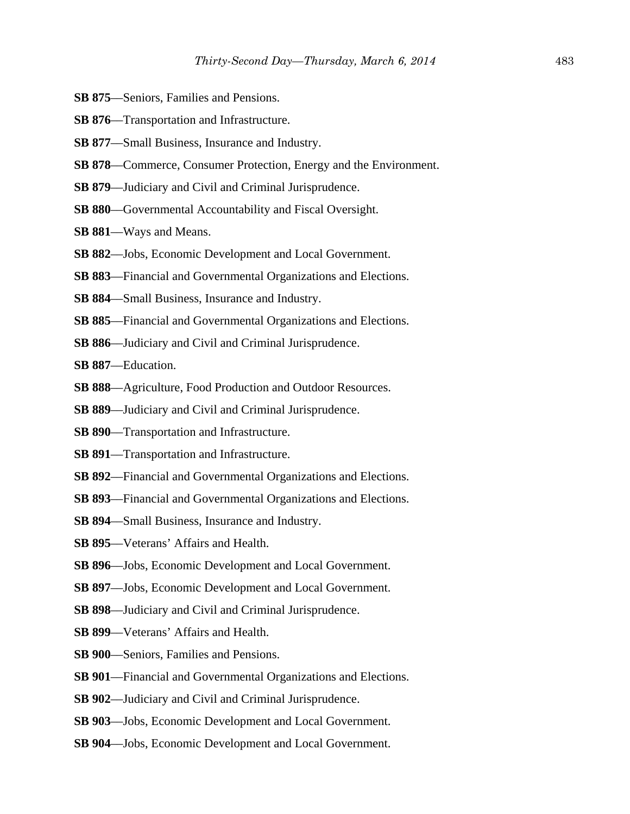- **SB 875**––Seniors, Families and Pensions.
- **SB 876**—Transportation and Infrastructure.
- **SB 877**––Small Business, Insurance and Industry.
- **SB 878**––Commerce, Consumer Protection, Energy and the Environment.
- **SB 879**––Judiciary and Civil and Criminal Jurisprudence.
- **SB 880**––Governmental Accountability and Fiscal Oversight.
- **SB 881**––Ways and Means.
- **SB 882**––Jobs, Economic Development and Local Government.
- **SB 883**—Financial and Governmental Organizations and Elections.
- **SB 884**––Small Business, Insurance and Industry.
- **SB 885**––Financial and Governmental Organizations and Elections.
- **SB 886**––Judiciary and Civil and Criminal Jurisprudence.
- **SB 887**––Education.
- **SB 888**––Agriculture, Food Production and Outdoor Resources.
- **SB 889**––Judiciary and Civil and Criminal Jurisprudence.
- **SB 890**––Transportation and Infrastructure.
- **SB 891**––Transportation and Infrastructure.
- **SB 892**––Financial and Governmental Organizations and Elections.
- **SB 893**––Financial and Governmental Organizations and Elections.
- **SB 894**––Small Business, Insurance and Industry.
- **SB 895**––Veterans' Affairs and Health.
- **SB 896**––Jobs, Economic Development and Local Government.
- **SB 897**––Jobs, Economic Development and Local Government.
- **SB 898**––Judiciary and Civil and Criminal Jurisprudence.
- **SB 899**––Veterans' Affairs and Health.
- **SB 900**––Seniors, Families and Pensions.
- **SB 901**––Financial and Governmental Organizations and Elections.
- **SB 902**––Judiciary and Civil and Criminal Jurisprudence.
- **SB 903**––Jobs, Economic Development and Local Government.
- **SB 904**––Jobs, Economic Development and Local Government.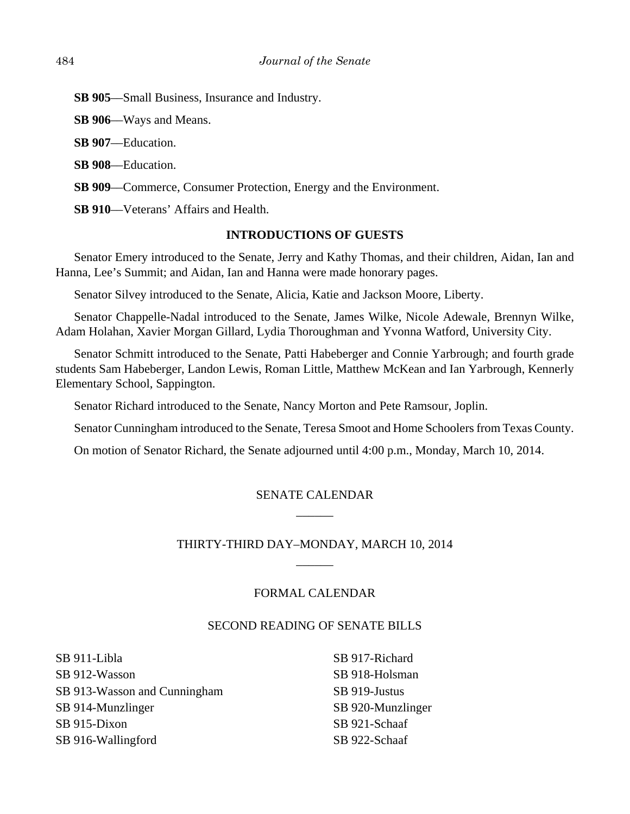**SB 905**––Small Business, Insurance and Industry.

**SB 906**––Ways and Means.

**SB 907**––Education.

**SB 908**––Education.

**SB 909—Commerce, Consumer Protection, Energy and the Environment.** 

**SB 910**––Veterans' Affairs and Health.

## **INTRODUCTIONS OF GUESTS**

Senator Emery introduced to the Senate, Jerry and Kathy Thomas, and their children, Aidan, Ian and Hanna, Lee's Summit; and Aidan, Ian and Hanna were made honorary pages.

Senator Silvey introduced to the Senate, Alicia, Katie and Jackson Moore, Liberty.

Senator Chappelle-Nadal introduced to the Senate, James Wilke, Nicole Adewale, Brennyn Wilke, Adam Holahan, Xavier Morgan Gillard, Lydia Thoroughman and Yvonna Watford, University City.

Senator Schmitt introduced to the Senate, Patti Habeberger and Connie Yarbrough; and fourth grade students Sam Habeberger, Landon Lewis, Roman Little, Matthew McKean and Ian Yarbrough, Kennerly Elementary School, Sappington.

Senator Richard introduced to the Senate, Nancy Morton and Pete Ramsour, Joplin.

Senator Cunningham introduced to the Senate, Teresa Smoot and Home Schoolers from Texas County.

On motion of Senator Richard, the Senate adjourned until 4:00 p.m., Monday, March 10, 2014.

# SENATE CALENDAR  $\overline{\phantom{a}}$

# THIRTY-THIRD DAY–MONDAY, MARCH 10, 2014  $\overline{\phantom{a}}$

# FORMAL CALENDAR

#### SECOND READING OF SENATE BILLS

SB 911-Libla SB 912-Wasson SB 913-Wasson and Cunningham SB 914-Munzlinger SB 915-Dixon SB 916-Wallingford

SB 917-Richard SB 918-Holsman SB 919-Justus SB 920-Munzlinger SB 921-Schaaf SB 922-Schaaf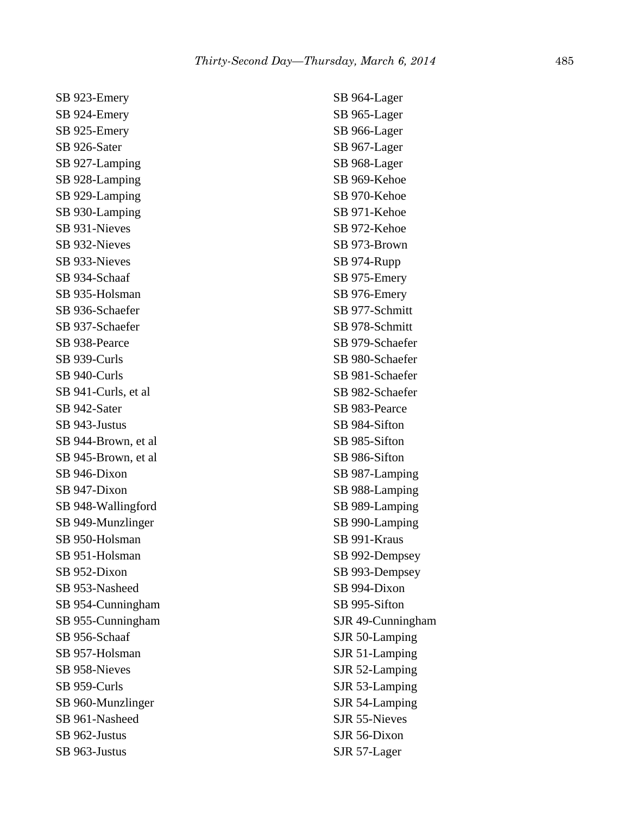SB 923-Emery SB 924-Emery SB 925-Emery SB 926-Sater SB 927-Lamping SB 928-Lamping SB 929-Lamping SB 930-Lamping SB 931-Nieves SB 932-Nieves SB 933-Nieves SB 934-Schaaf SB 935-Holsman SB 936-Schaefer SB 937-Schaefer SB 938-Pearce SB 939-Curls SB 940-Curls SB 941-Curls, et al SB 942-Sater SB 943-Justus SB 944-Brown, et al SB 945-Brown, et al SB 946-Dixon SB 947-Dixon SB 948-Wallingford SB 949-Munzlinger SB 950-Holsman SB 951-Holsman SB 952-Dixon SB 953-Nasheed SB 954-Cunningham SB 955-Cunningham SB 956-Schaaf SB 957-Holsman SB 958-Nieves SB 959-Curls SB 960-Munzlinger SB 961-Nasheed SB 962-Justus SB 963-Justus

SB 964-Lager SB 965-Lager SB 966-Lager SB 967-Lager SB 968-Lager SB 969-Kehoe SB 970-Kehoe SB 971-Kehoe SB 972-Kehoe SB 973-Brown SB 974-Rupp SB 975-Emery SB 976-Emery SB 977-Schmitt SB 978-Schmitt SB 979-Schaefer SB 980-Schaefer SB 981-Schaefer SB 982-Schaefer SB 983-Pearce SB 984-Sifton SB 985-Sifton SB 986-Sifton SB 987-Lamping SB 988-Lamping SB 989-Lamping SB 990-Lamping SB 991-Kraus SB 992-Dempsey SB 993-Dempsey SB 994-Dixon SB 995-Sifton SJR 49-Cunningham SJR 50-Lamping SJR 51-Lamping SJR 52-Lamping SJR 53-Lamping SJR 54-Lamping SJR 55-Nieves SJR 56-Dixon SJR 57-Lager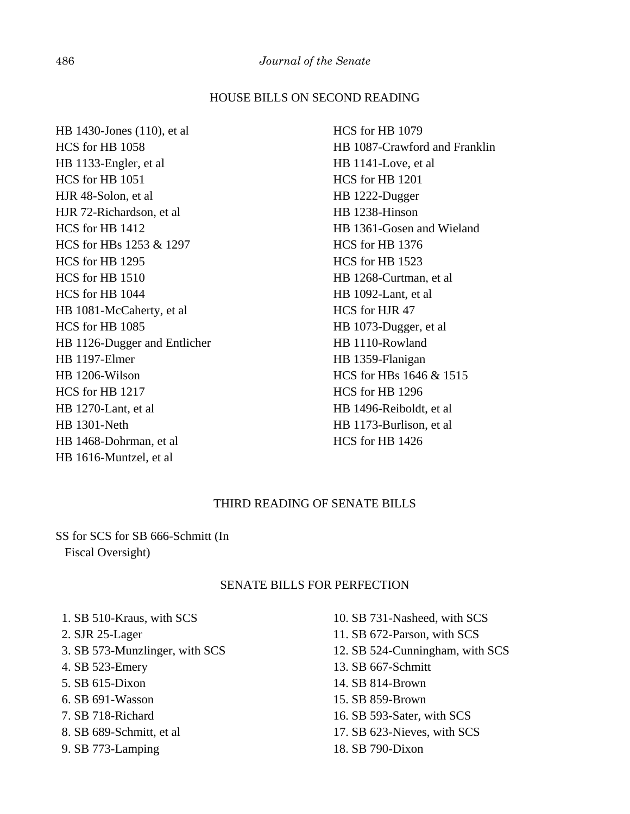# HOUSE BILLS ON SECOND READING

HB 1430-Jones (110), et al HCS for HB 1058 HB 1133-Engler, et al HCS for HB 1051 HJR 48-Solon, et al HJR 72-Richardson, et al HCS for HB 1412 HCS for HBs 1253 & 1297 HCS for HB 1295 HCS for HB 1510 HCS for HB 1044 HB 1081-McCaherty, et al HCS for HB 1085 HB 1126-Dugger and Entlicher HB 1197-Elmer HB 1206-Wilson HCS for HB 1217 HB 1270-Lant, et al HB 1301-Neth HB 1468-Dohrman, et al HB 1616-Muntzel, et al

HCS for HB 1079 HB 1087-Crawford and Franklin HB 1141-Love, et al HCS for HB 1201 HB 1222-Dugger HB 1238-Hinson HB 1361-Gosen and Wieland HCS for HB 1376 HCS for HB 1523 HB 1268-Curtman, et al HB 1092-Lant, et al HCS for HJR 47 HB 1073-Dugger, et al HB 1110-Rowland HB 1359-Flanigan HCS for HBs 1646 & 1515 HCS for HB 1296 HB 1496-Reiboldt, et al HB 1173-Burlison, et al HCS for HB 1426

# THIRD READING OF SENATE BILLS

SS for SCS for SB 666-Schmitt (In Fiscal Oversight)

#### SENATE BILLS FOR PERFECTION

- 1. SB 510-Kraus, with SCS
- 2. SJR 25-Lager
- 3. SB 573-Munzlinger, with SCS
- 4. SB 523-Emery
- 5. SB 615-Dixon
- 6. SB 691-Wasson
- 7. SB 718-Richard
- 8. SB 689-Schmitt, et al
- 9. SB 773-Lamping

10. SB 731-Nasheed, with SCS 11. SB 672-Parson, with SCS 12. SB 524-Cunningham, with SCS 13. SB 667-Schmitt 14. SB 814-Brown 15. SB 859-Brown 16. SB 593-Sater, with SCS 17. SB 623-Nieves, with SCS 18. SB 790-Dixon